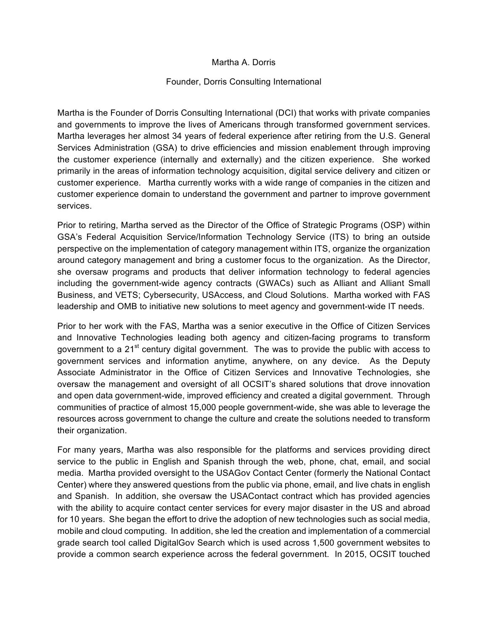## Martha A. Dorris

## Founder, Dorris Consulting International

Martha is the Founder of Dorris Consulting International (DCI) that works with private companies and governments to improve the lives of Americans through transformed government services. Martha leverages her almost 34 years of federal experience after retiring from the U.S. General Services Administration (GSA) to drive efficiencies and mission enablement through improving the customer experience (internally and externally) and the citizen experience. She worked primarily in the areas of information technology acquisition, digital service delivery and citizen or customer experience. Martha currently works with a wide range of companies in the citizen and customer experience domain to understand the government and partner to improve government services.

Prior to retiring, Martha served as the Director of the Office of Strategic Programs (OSP) within GSA's Federal Acquisition Service/Information Technology Service (ITS) to bring an outside perspective on the implementation of category management within ITS, organize the organization around category management and bring a customer focus to the organization. As the Director, she oversaw programs and products that deliver information technology to federal agencies including the government-wide agency contracts (GWACs) such as Alliant and Alliant Small Business, and VETS; Cybersecurity, USAccess, and Cloud Solutions. Martha worked with FAS leadership and OMB to initiative new solutions to meet agency and government-wide IT needs.

Prior to her work with the FAS, Martha was a senior executive in the Office of Citizen Services and Innovative Technologies leading both agency and citizen-facing programs to transform government to a  $21<sup>st</sup>$  century digital government. The was to provide the public with access to government services and information anytime, anywhere, on any device. As the Deputy Associate Administrator in the Office of Citizen Services and Innovative Technologies, she oversaw the management and oversight of all OCSIT's shared solutions that drove innovation and open data government-wide, improved efficiency and created a digital government. Through communities of practice of almost 15,000 people government-wide, she was able to leverage the resources across government to change the culture and create the solutions needed to transform their organization.

For many years, Martha was also responsible for the platforms and services providing direct service to the public in English and Spanish through the web, phone, chat, email, and social media. Martha provided oversight to the USAGov Contact Center (formerly the National Contact Center) where they answered questions from the public via phone, email, and live chats in english and Spanish. In addition, she oversaw the USAContact contract which has provided agencies with the ability to acquire contact center services for every major disaster in the US and abroad for 10 years. She began the effort to drive the adoption of new technologies such as social media, mobile and cloud computing. In addition, she led the creation and implementation of a commercial grade search tool called DigitalGov Search which is used across 1,500 government websites to provide a common search experience across the federal government. In 2015, OCSIT touched